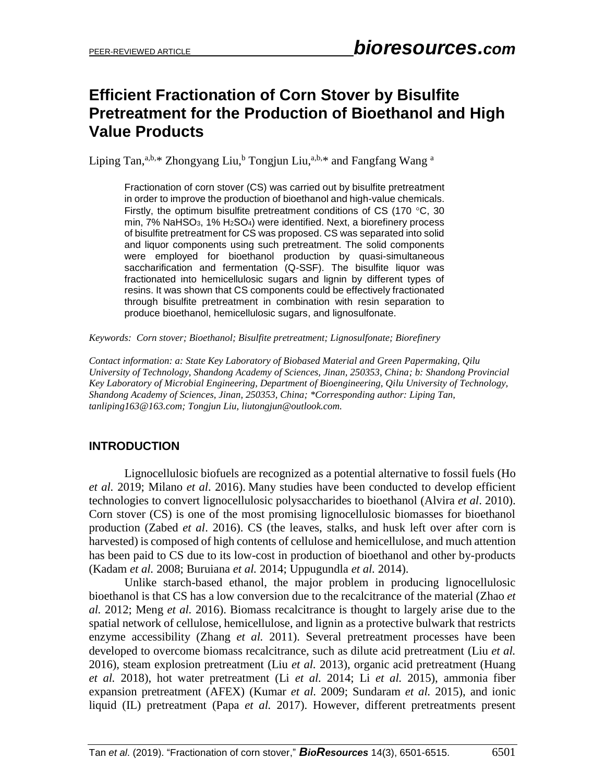# **Efficient Fractionation of Corn Stover by Bisulfite Pretreatment for the Production of Bioethanol and High Value Products**

Liping Tan,<sup>a,b,\*</sup> Zhongyang Liu,<sup>b</sup> Tongjun Liu,<sup>a,b,\*</sup> and Fangfang Wang <sup>a</sup>

Fractionation of corn stover (CS) was carried out by bisulfite pretreatment in order to improve the production of bioethanol and high-value chemicals. Firstly, the optimum bisulfite pretreatment conditions of CS (170 $\degree$ C, 30 min,  $7\%$  NaHSO<sub>3</sub>,  $1\%$  H<sub>2</sub>SO<sub>4</sub>) were identified. Next, a biorefinery process of bisulfite pretreatment for CS was proposed. CS was separated into solid and liquor components using such pretreatment. The solid components were employed for bioethanol production by quasi-simultaneous saccharification and fermentation (Q-SSF). The bisulfite liquor was fractionated into hemicellulosic sugars and lignin by different types of resins. It was shown that CS components could be effectively fractionated through bisulfite pretreatment in combination with resin separation to produce bioethanol, hemicellulosic sugars, and lignosulfonate.

*Keywords: Corn stover; Bioethanol; Bisulfite pretreatment; Lignosulfonate; Biorefinery* 

*Contact information: a: State Key Laboratory of Biobased Material and Green Papermaking, Qilu University of Technology, Shandong Academy of Sciences, Jinan, 250353, China; b: Shandong Provincial Key Laboratory of Microbial Engineering, Department of Bioengineering, Qilu University of Technology, Shandong Academy of Sciences, Jinan, 250353, China; \*Corresponding author: Liping Tan, tanliping163@163.com; Tongjun Liu, liutongjun@outlook.com.*

### **INTRODUCTION**

Lignocellulosic biofuels are recognized as a potential alternative to fossil fuels (Ho *et al.* 2019; Milano *et al*. 2016). Many studies have been conducted to develop efficient technologies to convert lignocellulosic polysaccharides to bioethanol (Alvira *et al*. 2010). Corn stover (CS) is one of the most promising lignocellulosic biomasses for bioethanol production (Zabed *et al*. 2016). CS (the leaves, stalks, and husk left over after corn is harvested) is composed of high contents of cellulose and hemicellulose, and much attention has been paid to CS due to its low-cost in production of bioethanol and other by-products (Kadam *et al.* 2008; Buruiana *et al.* 2014; Uppugundla *et al.* 2014).

Unlike starch-based ethanol, the major problem in producing lignocellulosic bioethanol is that CS has a low conversion due to the recalcitrance of the material (Zhao *et al.* 2012; Meng *et al.* 2016). Biomass recalcitrance is thought to largely arise due to the spatial network of cellulose, hemicellulose, and lignin as a protective bulwark that restricts enzyme accessibility (Zhang *et al.* 2011). Several pretreatment processes have been developed to overcome biomass recalcitrance, such as dilute acid pretreatment (Liu *et al.* 2016), steam explosion pretreatment (Liu *et al.* 2013), organic acid pretreatment (Huang *et al.* 2018), hot water pretreatment (Li *et al.* 2014; Li *et al.* 2015), ammonia fiber expansion pretreatment (AFEX) (Kumar *et al.* 2009; Sundaram *et al.* 2015), and ionic liquid (IL) pretreatment (Papa *et al.* 2017). However, different pretreatments present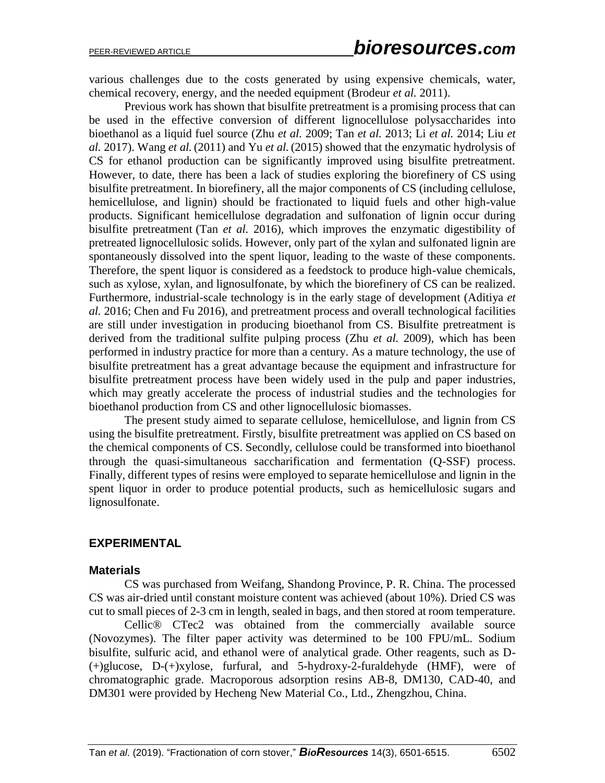various challenges due to the costs generated by using expensive chemicals, water, chemical recovery, energy, and the needed equipment (Brodeur *et al.* 2011).

Previous work has shown that bisulfite pretreatment is a promising process that can be used in the effective conversion of different lignocellulose polysaccharides into bioethanol as a liquid fuel source (Zhu *et al.* 2009; Tan *et al.* 2013; Li *et al.* 2014; Liu *et al.* 2017). Wang *et al.*(2011) and Yu *et al.*(2015) showed that the enzymatic hydrolysis of CS for ethanol production can be significantly improved using bisulfite pretreatment. However, to date, there has been a lack of studies exploring the biorefinery of CS using bisulfite pretreatment. In biorefinery, all the major components of CS (including cellulose, hemicellulose, and lignin) should be fractionated to liquid fuels and other high-value products. Significant hemicellulose degradation and sulfonation of lignin occur during bisulfite pretreatment (Tan *et al.* 2016), which improves the enzymatic digestibility of pretreated lignocellulosic solids. However, only part of the xylan and sulfonated lignin are spontaneously dissolved into the spent liquor, leading to the waste of these components. Therefore, the spent liquor is considered as a feedstock to produce high-value chemicals, such as xylose, xylan, and lignosulfonate, by which the biorefinery of CS can be realized. Furthermore, industrial-scale technology is in the early stage of development (Aditiya *et al.* 2016; Chen and Fu 2016), and pretreatment process and overall technological facilities are still under investigation in producing bioethanol from CS. Bisulfite pretreatment is derived from the traditional sulfite pulping process (Zhu *et al.* 2009), which has been performed in industry practice for more than a century. As a mature technology, the use of bisulfite pretreatment has a great advantage because the equipment and infrastructure for bisulfite pretreatment process have been widely used in the pulp and paper industries, which may greatly accelerate the process of industrial studies and the technologies for bioethanol production from CS and other lignocellulosic biomasses.

The present study aimed to separate cellulose, hemicellulose, and lignin from CS using the bisulfite pretreatment. Firstly, bisulfite pretreatment was applied on CS based on the chemical components of CS. Secondly, cellulose could be transformed into bioethanol through the quasi-simultaneous saccharification and fermentation (Q-SSF) process. Finally, different types of resins were employed to separate hemicellulose and lignin in the spent liquor in order to produce potential products, such as hemicellulosic sugars and lignosulfonate.

### **EXPERIMENTAL**

#### **Materials**

CS was purchased from Weifang, Shandong Province, P. R. China. The processed CS was air-dried until constant moisture content was achieved (about 10%). Dried CS was cut to small pieces of 2-3 cm in length, sealed in bags, and then stored at room temperature.

Cellic® CTec2 was obtained from the commercially available source (Novozymes). The filter paper activity was determined to be 100 FPU/mL. Sodium bisulfite, sulfuric acid, and ethanol were of analytical grade. Other reagents, such as D- (+)glucose, D-(+)xylose, furfural, and 5-hydroxy-2-furaldehyde (HMF), were of chromatographic grade. Macroporous adsorption resins AB-8, DM130, CAD-40, and DM301 were provided by Hecheng New Material Co., Ltd., Zhengzhou, China.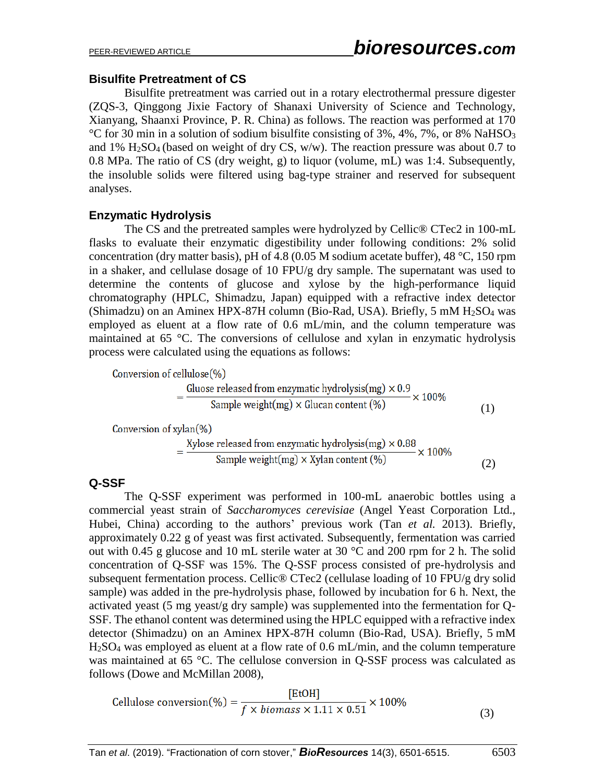### **Bisulfite Pretreatment of CS**

Bisulfite pretreatment was carried out in a rotary electrothermal pressure digester (ZQS-3, Qinggong Jixie Factory of Shanaxi University of Science and Technology, Xianyang, Shaanxi Province, P. R. China) as follows. The reaction was performed at 170 °C for 30 min in a solution of sodium bisulfite consisting of  $3\%$ ,  $4\%$ ,  $7\%$ , or  $8\%$  NaHSO<sub>3</sub> and 1%  $H<sub>2</sub>SO<sub>4</sub>$  (based on weight of dry CS, w/w). The reaction pressure was about 0.7 to 0.8 MPa. The ratio of CS (dry weight, g) to liquor (volume, mL) was 1:4. Subsequently, the insoluble solids were filtered using bag-type strainer and reserved for subsequent analyses.

### **Enzymatic Hydrolysis**

The CS and the pretreated samples were hydrolyzed by Cellic® CTec2 in 100-mL flasks to evaluate their enzymatic digestibility under following conditions: 2% solid concentration (dry matter basis), pH of 4.8 (0.05 M sodium acetate buffer), 48 °C, 150 rpm in a shaker, and cellulase dosage of 10 FPU/g dry sample. The supernatant was used to determine the contents of glucose and xylose by the high-performance liquid chromatography (HPLC, Shimadzu, Japan) equipped with a refractive index detector (Shimadzu) on an Aminex HPX-87H column (Bio-Rad, USA). Briefly, 5 mM H2SO<sup>4</sup> was employed as eluent at a flow rate of 0.6 mL/min, and the column temperature was maintained at 65 °C. The conversions of cellulose and xylan in enzymatic hydrolysis process were calculated using the equations as follows:

Conversion of cellulose $(\%)$ 

$$
= \frac{\text{Gluose released from enzymatic hydrolysis(mg)} \times 0.9}{\text{Sample weight(mg)} \times \text{Glucan content (\%)}} \times 100\%
$$
\n(1)

$$
= \frac{\text{Xylose released from enzymatic hydrolysis(mg)} \times 0.88}{\text{Sample weight(mg)} \times \text{Xylan content (\%)}} \times 100\%
$$
 (2)

### **Q-SSF**

The Q-SSF experiment was performed in 100-mL anaerobic bottles using a commercial yeast strain of *Saccharomyces cerevisiae* (Angel Yeast Corporation Ltd., Hubei, China) according to the authors' previous work (Tan *et al.* 2013). Briefly, approximately 0.22 g of yeast was first activated. Subsequently, fermentation was carried out with 0.45 g glucose and 10 mL sterile water at 30  $^{\circ}$ C and 200 rpm for 2 h. The solid concentration of Q-SSF was 15%. The Q-SSF process consisted of pre-hydrolysis and subsequent [fermentation](http://dict.youdao.com/w/fermentation/) [process.](http://dict.youdao.com/w/process/) Cellic® CTec2 (cellulase loading of 10 FPU/g dry solid sample) was added in the pre-hydrolysis phase, followed by incubation for 6 h. Next, the activated yeast (5 mg yeast/g dry sample) was supplemented into the fermentation for Q-SSF. The ethanol content was determined using the HPLC equipped with a refractive index detector (Shimadzu) on an Aminex HPX-87H column (Bio-Rad, USA). Briefly, 5 mM H2SO<sup>4</sup> was employed as eluent at a flow rate of 0.6 mL/min, and the column temperature was maintained at 65 °C. The cellulose conversion in Q-SSF process was calculated as follows (Dowe and McMillan 2008),

$$
Cellulose conversion (%) = \frac{[EtOH]}{f \times biomass \times 1.11 \times 0.51} \times 100\%
$$
\n(3)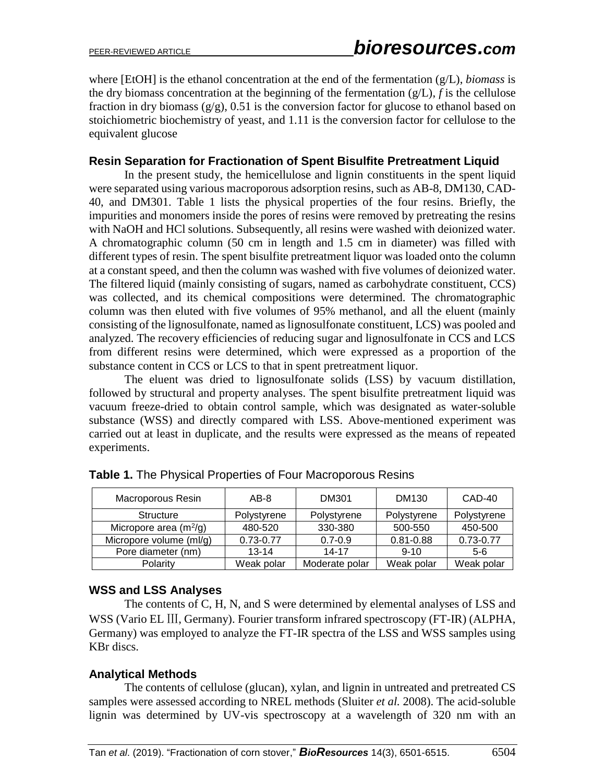where [EtOH] is the ethanol concentration at the end of the fermentation (g/L), *biomass* is the dry biomass concentration at the beginning of the fermentation  $(g/L)$ , *f* is the cellulose fraction in dry biomass  $(g/g)$ , 0.51 is the conversion factor for glucose to ethanol based on stoichiometric biochemistry of yeast, and 1.11 is the conversion factor for cellulose to the equivalent glucose

### **Resin Separation for Fractionation of Spent Bisulfite Pretreatment Liquid**

In the present study, the hemicellulose and lignin [constituents](http://dict.youdao.com/w/constituent/) in the spent liquid were separated using various macroporous adsorption resins, such as AB-8, DM130, CAD-40, and DM301. Table 1 lists the physical properties of the four resins. Briefly, the impurities and monomers inside the pores of resins were removed by pretreating the resins with NaOH and HCl solutions. Subsequently, all resins were washed with [deionized](http://dict.youdao.com/w/deionized/) [water.](http://dict.youdao.com/w/water/) A chromatographic column (50 cm in length and 1.5 cm in diameter) was filled with different types of resin. The spent bisulfite pretreatment liquor was loaded onto the column at a constant speed, and then the column was washed with five volumes of [deionized](http://dict.youdao.com/w/deionized/) water. The filtered liquid (mainly consisting of sugars, named as carbohydrate [constituent,](http://dict.youdao.com/w/constituent/) CCS) was collected, and its chemical compositions were determined. The chromatographic column was then eluted with five volumes of 95% methanol, and all the eluent (mainly consisting of the lignosulfonate, named as lignosulfonate [constituent,](http://dict.youdao.com/w/constituent/) LCS) was pooled and analyzed. The recovery efficiencies of reducing sugar and lignosulfonate in CCS and LCS from different resins were determined, which were expressed as a proportion of the substance content in CCS or LCS to that in spent pretreatment liquor.

The eluent was dried to lignosulfonate solids (LSS) by vacuum distillation, followed by structural and property analyses. The spent bisulfite pretreatment liquid was vacuum freeze-dried to obtain control sample, which was designated as water-soluble substance (WSS) and directly compared with LSS. Above-mentioned experiment was carried out at least in duplicate, and the results were expressed as the means of repeated experiments.

| Macroporous Resin        | AB-8          | DM301          | DM130         | CAD-40        |
|--------------------------|---------------|----------------|---------------|---------------|
| <b>Structure</b>         | Polystyrene   | Polystyrene    | Polystyrene   | Polystyrene   |
| Micropore area $(m^2/g)$ | 480-520       | 330-380        | 500-550       | 450-500       |
| Micropore volume (ml/g)  | $0.73 - 0.77$ | $0.7 - 0.9$    | $0.81 - 0.88$ | $0.73 - 0.77$ |
| Pore diameter (nm)       | $13 - 14$     | $14 - 17$      | $9 - 10$      | 5-6           |
| Polarity                 | Weak polar    | Moderate polar | Weak polar    | Weak polar    |

**Table 1.** The Physical Properties of Four [Macroporous](http://dict.youdao.com/w/macroporous/) Resins

### **WSS and LSS Analyses**

The contents of C, H, N, and S were determined by elemental analyses of LSS and WSS (Vario EL III, Germany). Fourier transform infrared spectroscopy (FT-IR) (ALPHA, Germany) was employed to analyze the FT-IR spectra of the LSS and WSS samples using KBr discs.

### **Analytical Methods**

The contents of cellulose (glucan), xylan, and lignin in untreated and pretreated CS samples were assessed according to NREL methods (Sluiter *et al.* 2008). The acid-soluble lignin was determined by UV-vis spectroscopy at a wavelength of 320 nm with an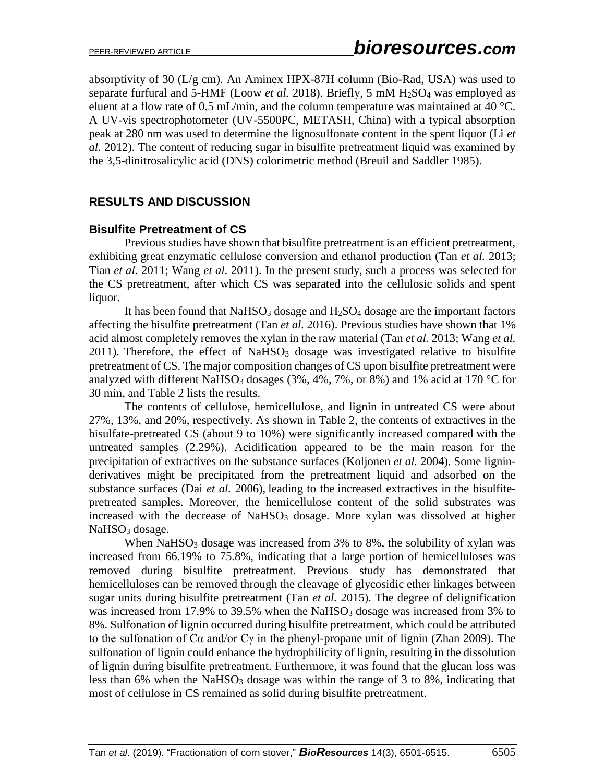absorptivity of 30  $(L/g \text{ cm})$ . An Aminex HPX-87H column (Bio-Rad, USA) was used to separate furfural and 5-HMF (Loow *et al.* 2018). Briefly, 5 mM H<sub>2</sub>SO<sub>4</sub> was employed as eluent at a flow rate of 0.5 mL/min, and the column temperature was maintained at 40 °C. A UV-vis spectrophotometer (UV-5500PC, METASH, China) with a typical absorption peak at 280 nm was used to determine the lignosulfonate content in the spent liquor (Li *et al.* 2012). The content of reducing sugar in bisulfite pretreatment liquid was examined by the 3,5-dinitrosalicylic acid (DNS) colorimetric method [\(Breuil](https://www.sciencedirect.com/science/article/pii/0141022985901115#!) [and Saddler](https://www.sciencedirect.com/science/article/pii/0141022985901115#!) 1985).

### **RESULTS AND DISCUSSION**

#### **Bisulfite Pretreatment of CS**

Previous studies have shown that bisulfite pretreatment is an efficient pretreatment, exhibiting great enzymatic cellulose conversion and ethanol production (Tan *et al.* 2013; Tian *et al.* 2011; Wang *et al.* 2011). In the present study, such a process was selected for the CS pretreatment, after which CS was separated into the cellulosic solids and spent liquor.

It has been found that  $NaHSO<sub>3</sub>$  dosage and  $H<sub>2</sub>SO<sub>4</sub>$  dosage are the important factors affecting the bisulfite pretreatment (Tan *et al.* 2016). Previous studies have shown that 1% acid almost completely removes the xylan in the raw material (Tan *et al.* 2013; Wang *et al.*  $2011$ ). Therefore, the effect of NaHSO<sub>3</sub> dosage was investigated relative to bisulfite pretreatment of CS. The major composition changes of CS upon bisulfite pretreatment were analyzed with different NaHSO<sub>3</sub> dosages (3%, 4%, 7%, or 8%) and 1% acid at 170 °C for 30 min, and Table 2 lists the results.

The contents of cellulose, hemicellulose, and lignin in untreated CS were about 27%, 13%, and 20%, respectively. As shown in Table 2, the contents of extractives in the bisulfate-pretreated CS (about 9 to 10%) were significantly increased compared with the untreated samples (2.29%). Acidification appeared to be the main reason for the precipitation of extractives on the substance surfaces (Koljonen *et al.* 2004). Some ligninderivatives might be precipitated from the pretreatment liquid and adsorbed on the substance surfaces (Dai *et al.* 2006), leading to the increased extractives in the bisulfitepretreated samples. Moreover, the hemicellulose content of the solid substrates was increased with the decrease of  $NaHSO<sub>3</sub>$  dosage. More xylan was dissolved at higher NaHSO<sub>3</sub> dosage.

When  $NaHSO<sub>3</sub>$  dosage was increased from 3% to 8%, the solubility of xylan was increased from 66.19% to 75.8%, indicating that a large portion of hemicelluloses was removed during bisulfite pretreatment. Previous study has demonstrated that hemicelluloses can be removed through the cleavage of glycosidic ether linkages between sugar units during bisulfite pretreatment (Tan *et al.* 2015). The degree of delignification was increased from 17.9% to 39.5% when the NaHSO<sub>3</sub> dosage was increased from 3% to 8%. Sulfonation of lignin occurred during bisulfite pretreatment, which could be attributed to the sulfonation of C $\alpha$  and/or C $\gamma$  in the phenyl-propane unit of lignin (Zhan 2009). The sulfonation of lignin could enhance the hydrophilicity of lignin, resulting in the dissolution of lignin during bisulfite pretreatment. Furthermore, it was found that the glucan loss was less than  $6\%$  when the NaHSO<sub>3</sub> dosage was within the range of 3 to 8%, indicating that most of cellulose in CS remained as solid during bisulfite pretreatment.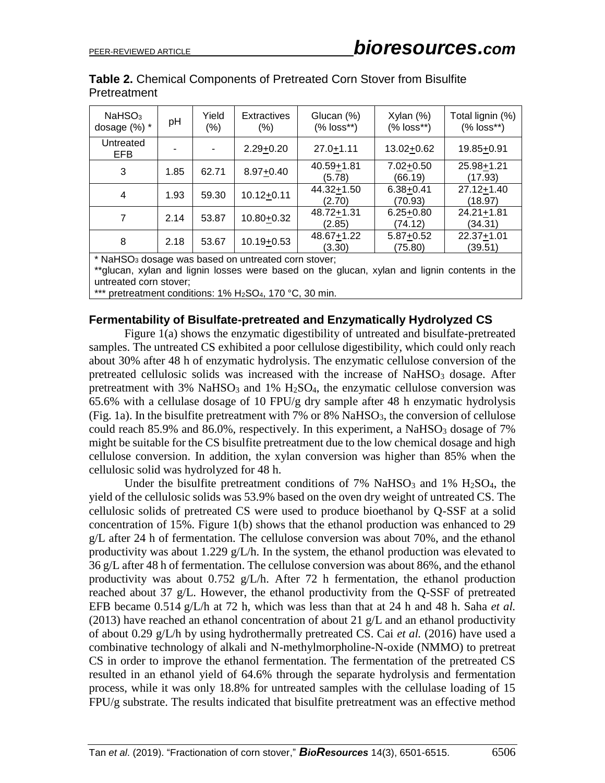| NaHSO <sub>3</sub><br>dosage $(\%)$ *                         | pH   | Yield<br>$(\%)$ | <b>Extractives</b><br>$(\% )$ | Glucan (%)<br>$(% \mathscr{L}_{0})$ $ 0SS*** $ | $X$ ylan $(\%)$<br>(% loss**) | Total lignin (%)<br>$(% )^{*}$ (% loss**) |
|---------------------------------------------------------------|------|-----------------|-------------------------------|------------------------------------------------|-------------------------------|-------------------------------------------|
| Untreated<br>EFB                                              |      |                 | $2.29 + 0.20$                 | $27.0 + 1.11$                                  | 13.02+0.62                    | 19.85+0.91                                |
| 3                                                             | 1.85 | 62.71           | $8.97 + 0.40$                 | 40.59+1.81<br>(5.78)                           | $7.02 + 0.50$<br>(66.19)      | 25.98+1.21<br>(17.93)                     |
| 4                                                             | 1.93 | 59.30           | $10.12 + 0.11$                | 44.32+1.50<br>(2.70)                           | $6.38 + 0.41$<br>(70.93)      | 27.12+1.40<br>(18.97)                     |
| 7                                                             | 2.14 | 53.87           | 10.80+0.32                    | 48.72+1.31<br>(2.85)                           | $6.25 + 0.80$<br>(74.12)      | $24.21 + 1.81$<br>(34.31)                 |
| 8                                                             | 2.18 | 53.67           | $10.19 + 0.53$                | 48.67+1.22<br>(3.30)                           | $5.87 + 0.52$<br>(75.80)      | 22.37+1.01<br>(39.51)                     |
| $*$ No. $\Omega$ decays use because we untracted cars stought |      |                 |                               |                                                |                               |                                           |

|              | <b>Table 2.</b> Chemical Components of Pretreated Corn Stover from Bisulfite |  |  |
|--------------|------------------------------------------------------------------------------|--|--|
| Pretreatment |                                                                              |  |  |

NaHSO<sub>3</sub> dosage was based on untreated corn stover;

\*\*glucan, xylan and lignin losses were based on the glucan, xylan and lignin contents in the untreated corn stover;

\*\*\* pretreatment conditions: 1% H<sub>2</sub>SO<sub>4</sub>, 170 °C, 30 min.

#### **Fermentability of Bisulfate-pretreated and Enzymatically Hydrolyzed CS**

Figure 1(a) shows the enzymatic digestibility of untreated and bisulfate-pretreated samples. The untreated CS exhibited a poor cellulose digestibility, which could only reach about 30% after 48 h of enzymatic hydrolysis. The enzymatic cellulose conversion of the pretreated cellulosic solids was increased with the increase of  $NaHSO<sub>3</sub>$  dosage. After pretreatment with  $3\%$  NaHSO<sub>3</sub> and  $1\%$  H<sub>2</sub>SO<sub>4</sub>, the enzymatic cellulose conversion was 65.6% with a cellulase dosage of 10 FPU/g dry sample after 48 h enzymatic hydrolysis (Fig. 1a). In the bisulfite pretreatment with  $7\%$  or  $8\%$  NaHSO<sub>3</sub>, the conversion of cellulose could reach  $85.9\%$  and  $86.0\%$ , respectively. In this experiment, a NaHSO<sub>3</sub> dosage of 7% might be suitable for the CS bisulfite pretreatment due to the low chemical dosage and high cellulose conversion. In addition, the xylan conversion was higher than 85% when the cellulosic solid was hydrolyzed for 48 h.

Under the bisulfite pretreatment conditions of  $7\%$  NaHSO<sub>3</sub> and  $1\%$  H<sub>2</sub>SO<sub>4</sub>, the yield of the cellulosic solids was 53.9% based on the oven dry weight of untreated CS. The cellulosic solids of pretreated CS were used to produce bioethanol by Q-SSF at a solid concentration of 15%. Figure 1(b) shows that the ethanol production was enhanced to 29 g/L after 24 h of fermentation. The cellulose conversion was about 70%, and the ethanol productivity was about 1.229 g/L/h. In the system, the ethanol production was elevated to 36 g/L after 48 h of fermentation. The cellulose conversion was about 86%, and the ethanol productivity was about 0.752 g/L/h. After 72 h fermentation, the ethanol production reached about 37 g/L. However, the ethanol productivity from the Q-SSF of pretreated EFB became 0.514 g/L/h at 72 h, which was less than that at 24 h and 48 h. Saha *et al.* (2013) have reached an ethanol concentration of about 21  $g/L$  and an ethanol productivity of about 0.29 g/L/h by using hydrothermally pretreated CS. Cai *et al.* (2016) have used a combinative technology of alkali and N-methylmorpholine-N-oxide (NMMO) to pretreat CS in order to improve the ethanol fermentation. The fermentation of the pretreated CS resulted in an ethanol yield of 64.6% through the separate hydrolysis and fermentation process, while it was only 18.8% for untreated samples with the cellulase loading of 15 FPU/g substrate. The results indicated that bisulfite pretreatment was an effective method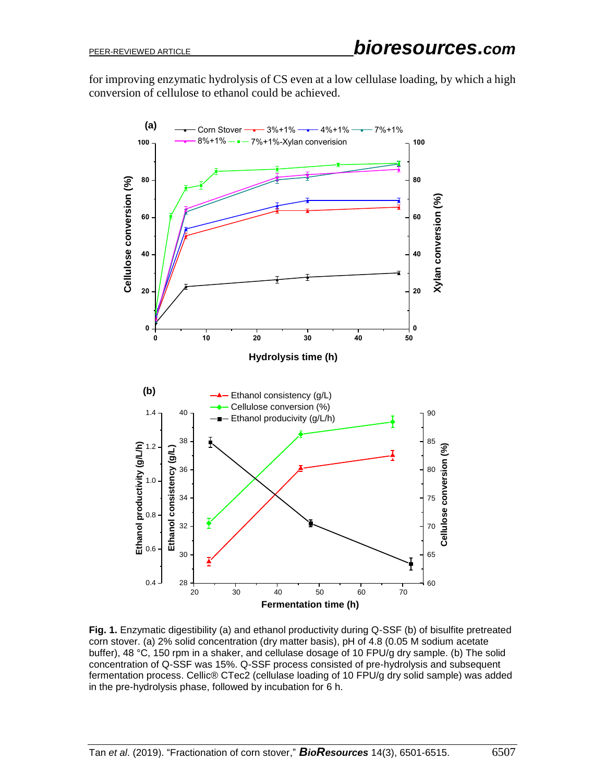for improving enzymatic hydrolysis of CS even at a low cellulase loading, by which a high conversion of cellulose to ethanol could be achieved.



**Fig. 1.** Enzymatic digestibility (a) and ethanol productivity during Q-SSF (b) of bisulfite pretreated corn stover. (a) 2% solid concentration (dry matter basis), pH of 4.8 (0.05 M sodium acetate buffer), 48 °C, 150 rpm in a shaker, and cellulase dosage of 10 FPU/g dry sample. (b) The solid concentration of Q-SSF was 15%. Q-SSF process consisted of pre-hydrolysis and subsequent [fermentation](http://dict.youdao.com/w/fermentation/) [process.](http://dict.youdao.com/w/process/) Cellic® CTec2 (cellulase loading of 10 FPU/g dry solid sample) was added in the pre-hydrolysis phase, followed by incubation for 6 h.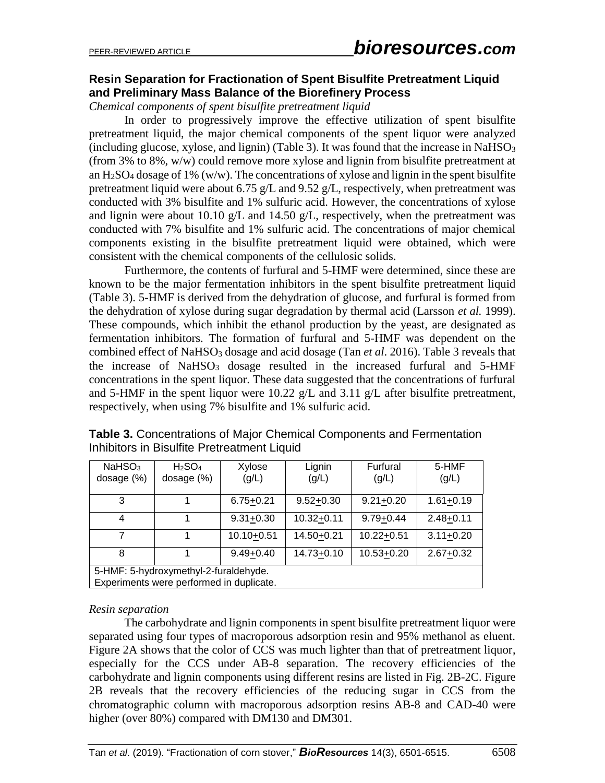### **Resin Separation for Fractionation of Spent Bisulfite Pretreatment Liquid and Preliminary Mass Balance of the Biorefinery Process**

*Chemical components of spent bisulfite pretreatment liquid*

In order to progressively improve the effective utilization of spent bisulfite pretreatment liquid, the major chemical components of the spent liquor were analyzed (including glucose, xylose, and lignin) (Table 3). It was found that the increase in NaHSO<sub>3</sub> (from 3% to 8%, w/w) could remove more xylose and lignin from bisulfite pretreatment at an  $H_2SO_4$  dosage of 1% (w/w). The concentrations of xylose and lignin in the spent bisulfite pretreatment liquid were about 6.75 g/L and 9.52 g/L, respectively, when pretreatment was conducted with 3% bisulfite and 1% sulfuric acid. However, the concentrations of xylose and lignin were about 10.10  $g/L$  and 14.50  $g/L$ , respectively, when the pretreatment was conducted with 7% bisulfite and 1% sulfuric acid. The concentrations of major chemical components existing in the bisulfite pretreatment liquid were obtained, which were consistent with the chemical components of the cellulosic solids.

Furthermore, the contents of furfural and 5-HMF were determined, since these are known to be the major fermentation inhibitors in the spent bisulfite pretreatment liquid (Table 3). 5-HMF is derived from the dehydration of glucose, and furfural is formed from the dehydration of xylose during sugar degradation by thermal acid (Larsson *et al.* 1999). These compounds, which inhibit the ethanol production by the yeast, are designated as fermentation inhibitors. The formation of furfural and 5-HMF was dependent on the combined effect of NaHSO<sub>3</sub> dosage and acid dosage (Tan *et al.* 2016). Table 3 reveals that the increase of  $NaHSO<sub>3</sub>$  dosage resulted in the increased furfural and  $5-HMF$ concentrations in the spent liquor. These data suggested that the concentrations of furfural and 5-HMF in the spent liquor were 10.22 g/L and 3.11 g/L after bisulfite pretreatment, respectively, when using 7% bisulfite and 1% sulfuric acid.

| NaHSO <sub>3</sub><br>dosage $(\%)$                                               | H <sub>2</sub> SO <sub>4</sub><br>dosage (%) | Xylose<br>(g/L) | Lignin<br>(g/L) | Furfural<br>(g/L) | 5-HMF<br>(g/L) |
|-----------------------------------------------------------------------------------|----------------------------------------------|-----------------|-----------------|-------------------|----------------|
| 3                                                                                 |                                              | $6.75 + 0.21$   | $9.52 + 0.30$   | $9.21 + 0.20$     | $1.61 + 0.19$  |
| 4                                                                                 |                                              | $9.31 + 0.30$   | $10.32 + 0.11$  | $9.79 + 0.44$     | $2.48 + 0.11$  |
| 7                                                                                 |                                              | $10.10 + 0.51$  | 14.50+0.21      | $10.22 + 0.51$    | $3.11 + 0.20$  |
| 8                                                                                 |                                              | $9.49 + 0.40$   | 14.73+0.10      | 10.53+0.20        | $2.67 + 0.32$  |
| 5-HMF: 5-hydroxymethyl-2-furaldehyde.<br>Experiments were performed in duplicate. |                                              |                 |                 |                   |                |

**Table 3.** Concentrations of Major Chemical Components and Fermentation Inhibitors in Bisulfite Pretreatment Liquid

#### *Resin separation*

The carbohydrate and lignin components in spent bisulfite pretreatment liquor were separated using four types of macroporous adsorption resin and 95% methanol as eluent. Figure 2A shows that the color of CCS was much lighter than that of pretreatment liquor, especially for the CCS under AB-8 separation. The recovery efficiencies of the carbohydrate and lignin components using different resins are listed in Fig. 2B-2C. Figure 2B reveals that the recovery efficiencies of the reducing sugar in CCS from the chromatographic column with macroporous adsorption resins AB-8 and CAD-40 were higher (over 80%) compared with DM130 and DM301.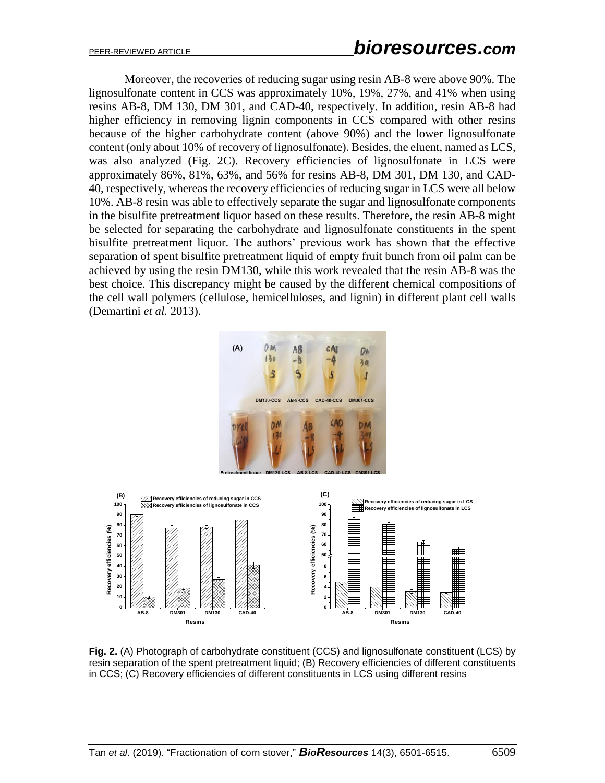Moreover, the recoveries of reducing sugar using resin AB-8 were above 90%. The lignosulfonate content in CCS was approximately 10%, 19%, 27%, and 41% when using resins AB-8, DM 130, DM 301, and CAD-40, respectively. In addition, resin AB-8 had higher efficiency in removing lignin components in CCS compared with other resins because of the higher carbohydrate content (above 90%) and the lower lignosulfonate content (only about 10% of recovery of lignosulfonate). Besides, th[e eluent,](http://dict.youdao.com/w/eluent/) named as LCS, was also analyzed (Fig. 2C). Recovery efficiencies of lignosulfonate in LCS were approximately 86%, 81%, 63%, and 56% for resins AB-8, DM 301, DM 130, and CAD-40, respectively, whereas the recovery efficiencies of reducing sugar in LCS were all below 10%. AB-8 resin was able to effectively separate the sugar and lignosulfonate components in the bisulfite pretreatment liquor based on these results. Therefore, the [resin](http://dict.youdao.com/w/resin/) AB-8 might be selected for separating the carbohydrate and lignosulfonate [constituents](http://dict.youdao.com/w/constituent/) in the spent bisulfite pretreatment liquor. The authors' previous work has shown that the effective separation of spent bisulfite pretreatment liquid of empty fruit bunch from oil palm can be achieved by using the resin DM130, while this work revealed that the resin AB-8 was the best choice. This discrepancy might be caused by the different chemical compositions of the cell wall polymers (cellulose, hemicelluloses, and lignin) in different plant cell walls (Demartini *et al.* 2013).



**Fig. 2.** (A) Photograph of carbohydrate [constituent](http://dict.youdao.com/w/constituent/) (CCS) and lignosulfonate [constituent](http://dict.youdao.com/w/constituent/) (LCS) by resin separation of the spent pretreatment liquid; (B) Recovery efficiencies of different constituents in CCS; (C) Recovery efficiencies of different constituents in LCS using differen[t resins](http://dict.youdao.com/w/resin/)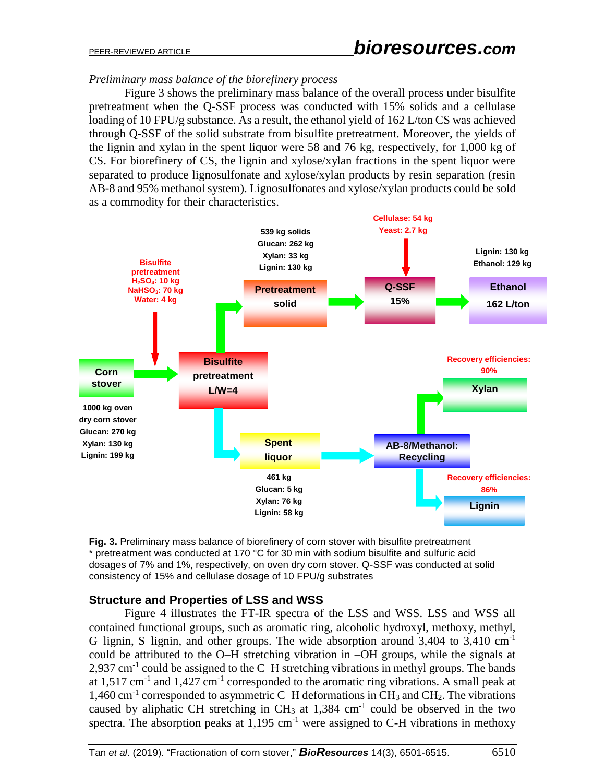### *Preliminary mass balance of the biorefinery process*

Figure 3 shows the preliminary mass balance of the overall process under bisulfite pretreatment when the Q-SSF process was conducted with 15% solids and a cellulase loading of 10 FPU/g substance. As a result, the ethanol yield of 162 L/ton CS was achieved through Q-SSF of the solid substrate from bisulfite pretreatment. Moreover, the yields of the lignin and xylan in the spent liquor were 58 and 76 kg, respectively, for 1,000 kg of CS. For biorefinery of CS, the lignin and xylose/xylan fractions in the spent liquor were separated to produce lignosulfonate and xylose/xylan products by resin separation (resin AB-8 and 95% methanol system). Lignosulfonates and xylose/xylan products could be sold as a commodity for their characteristics.



**Fig. 3.** Preliminary mass balance of biorefinery of corn stover with bisulfite pretreatment \* pretreatment was conducted at 170 °C for 30 min with sodium bisulfite and sulfuric acid dosages of 7% and 1%, respectively, on oven dry corn stover. Q-SSF was conducted at solid consistency of 15% and cellulase dosage of 10 FPU/g substrates

### **Structure and Properties of LSS and WSS**

Figure 4 illustrates the FT-IR spectra of the LSS and WSS. LSS and WSS all contained functional groups, such as aromatic ring, [alcoholic](http://dict.youdao.com/w/alcoholic/) [hydroxyl,](http://dict.youdao.com/w/hydroxyl/) methoxy, methyl, G-lignin, S-lignin, and other groups. The wide absorption around  $3,404$  to  $3,410$  cm<sup>-1</sup> could be attributed to the O–H stretching vibration in –OH groups, while the signals at  $2,937$  cm<sup>-1</sup> could be assigned to the C-H stretching vibrations in methyl groups. The bands at 1,517 cm<sup>-1</sup> and 1,427 cm<sup>-1</sup> corresponded to the aromatic ring vibrations. A small peak at 1,460 cm<sup>-1</sup> corresponded to asymmetric C–H deformations in CH<sub>3</sub> and CH<sub>2</sub>. The vibrations caused by aliphatic CH stretching in  $CH_3$  at 1,384  $cm^{-1}$  could be observed in the two spectra. The absorption peaks at  $1,195$  cm<sup>-1</sup> were assigned to C-H vibrations in methoxy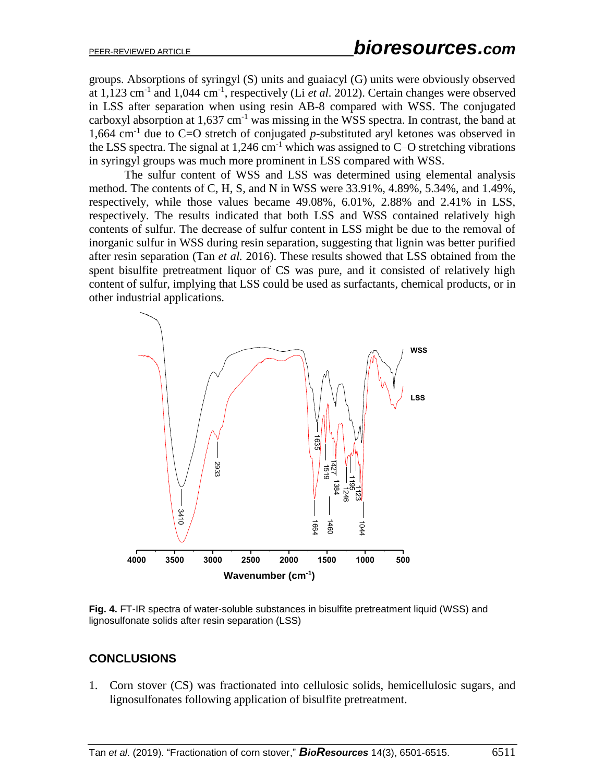groups. Absorptions of syringyl (S) units and guaiacyl (G) units were obviously observed at 1,123 cm<sup>-1</sup> and 1,044 cm<sup>-1</sup>, respectively (Li *et al.* 2012). Certain changes were observed in LSS after separation when using resin AB-8 compared with WSS. The conjugated carboxyl absorption at  $1,637$  cm<sup>-1</sup> was missing in the WSS spectra. In contrast, the band at 1,664 cm<sup>-1</sup> due to C=O stretch of conjugated  $p$ -substituted aryl ketones was observed in the LSS spectra. The signal at  $1,246$  cm<sup>-1</sup> which was assigned to C–O stretching vibrations in syringyl groups was much more prominent in LSS compared with WSS.

The sulfur content of WSS and LSS was determined using elemental analysis method. The contents of C, H, S, and N in WSS were 33.91%, 4.89%, 5.34%, and 1.49%, respectively, while those values became 49.08%, 6.01%, 2.88% and 2.41% in LSS, respectively. The results indicated that both LSS and WSS contained relatively high contents of sulfur. The decrease of sulfur content in LSS might be due to the removal of inorganic sulfur in WSS during resin separation, suggesting that lignin was better purified after resin separation (Tan *et al.* 2016). These results showed that LSS obtained from the spent bisulfite pretreatment liquor of CS was pure, and it consisted of relatively high content of sulfur, implying that LSS could be used as surfactants, chemical products, or in other industrial applications.



**Fig. 4.** FT-IR spectra of water-soluble substances in bisulfite pretreatment liquid (WSS) and lignosulfonate solids after resin separation (LSS)

# **CONCLUSIONS**

1. Corn stover (CS) was fractionated into cellulosic solids, hemicellulosic sugars, and lignosulfonates following application of bisulfite pretreatment.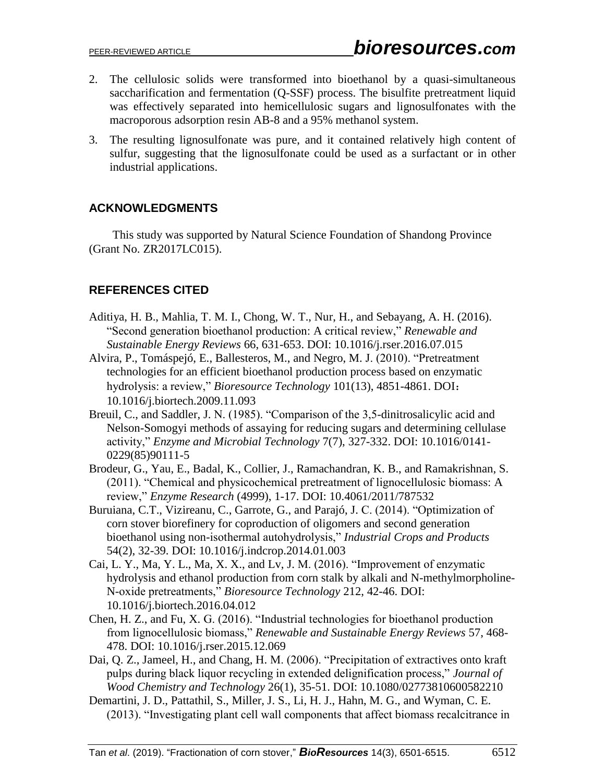- 2. The cellulosic solids were transformed into bioethanol by a quasi-simultaneous saccharification and fermentation (Q-SSF) process. The bisulfite pretreatment liquid was effectively separated into hemicellulosic sugars and lignosulfonates with the macroporous adsorption resin AB-8 and a 95% methanol system.
- 3. The resulting lignosulfonate was pure, and it contained relatively high content of sulfur, suggesting that the lignosulfonate could be used as a surfactant or in other industrial applications.

## **ACKNOWLEDGMENTS**

This study was supported by Natural Science Foundation of Shandong Province (Grant No. ZR2017LC015).

# **REFERENCES CITED**

- Aditiya, H. B., Mahlia, T. M. I., Chong, W. T., [Nur, H.,](https://www.sciencedirect.com/science/article/pii/S1364032116303434#!) and [Sebayang,](https://www.sciencedirect.com/science/article/pii/S1364032116303434#!) A. H. (2016). "Second generation bioethanol production: A critical review," *Renewable and Sustainable Energy Reviews* 66, 631-653. DOI: 10.1016/j.rser.2016.07.015
- Alvira, P., Tomáspejó, E., Ballesteros, M., and [Negro,](http://med.wanfangdata.com.cn/Paper/Search?q=%e4%bd%9c%e8%80%85%3a(M+J%2c+Negro)) M. J. (2010). "Pretreatment technologies for an efficient bioethanol production process based on enzymatic hydrolysis: a review," *Bioresource Technology* 101(13), 4851-4861. DOI: 10.1016/j.biortech.2009.11.093
- Breuil, C., and Saddler, J. N. (1985). "Comparison of the 3,5-dinitrosalicylic acid and Nelson-Somogyi methods of assaying for reducing sugars and determining cellulase activity," *Enzyme and Microbial Technology* 7(7), 327-332. DOI: 10.1016/0141- 0229(85)90111-5
- Brodeur, G., Yau, E., Badal, K., [Collier, J.](https://www.ncbi.nlm.nih.gov/pubmed/?term=Collier%20J%5BAuthor%5D&cauthor=true&cauthor_uid=21687609), [Ramachandran, K.](https://www.ncbi.nlm.nih.gov/pubmed/?term=Ramachandran%20KB%5BAuthor%5D&cauthor=true&cauthor_uid=21687609) B., and [Ramakrishnan, S.](https://www.ncbi.nlm.nih.gov/pubmed/?term=Ramakrishnan%20S%5BAuthor%5D&cauthor=true&cauthor_uid=21687609) (2011). "Chemical and physicochemical pretreatment of lignocellulosic biomass: A review," *Enzyme Research* (4999), 1-17. DOI: [10.4061/2011/787532](https://doi.org/10.4061/2011/787532)
- Buruiana, C.T., Vizireanu, C., Garrote, G., and [Parajó,](https://www.sciencedirect.com/science/article/pii/S0926669014000107#!) J. C. (2014). "Optimization of corn stover biorefinery for coproduction of oligomers and second generation bioethanol using non-isothermal autohydrolysis," *Industrial Crops and Products* 54(2), 32-39. DOI: 10.1016/j.indcrop.2014.01.003
- Cai, L. Y., Ma, Y. L., Ma, X. X., and [Lv,](https://www.sciencedirect.com/science/article/pii/S0960852416304849#!) J. M. (2016). "Improvement of enzymatic hydrolysis and ethanol production from corn stalk by alkali and N-methylmorpholine-N-oxide pretreatments," *Bioresource Technology* 212, 42-46. DOI: 10.1016/j.biortech.2016.04.012
- Chen, H. Z., and Fu, X. G. (2016). "Industrial technologies for bioethanol production from lignocellulosic biomass," *Renewable and Sustainable Energy Reviews* 57, 468- 478. DOI: 10.1016/j.rser.2015.12.069
- Dai, Q. Z., Jameel, H., and Chang, H. M. (2006). "Precipitation of extractives onto kraft pulps during black liquor recycling in extended delignification process," *Journal of Wood Chemistry and Technology* 26(1), 35-51. DOI: 10.1080/02773810600582210
- Demartini, J. D., Pattathil, S., Miller, J. S., Li, H. J., Hahn, M. G., and Wyman, C. E. (2013). "Investigating plant cell wall components that affect biomass recalcitrance in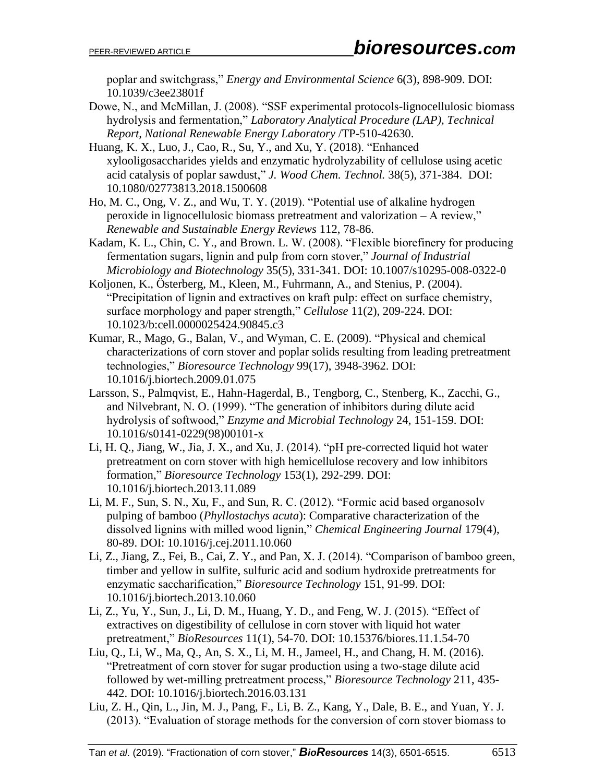poplar and switchgrass," *Energy [and Environmental](https://www.baidu.com/link?url=3re8jIYJenezRXwHXTlT9j-knfnKy1jdylxv-qKXgizsBtAcuCun6WTuVj0v9OiYTPw-nlQIkvS3FHKOBioKpf9tDwBj541oekuV0jIOVENbXcjbOnsaypdbcw3D6w5Y&wd=&eqid=9b22e40600001c55000000035b5e75ed) Science* 6(3), 898-909. DOI: 10.1039/c3ee23801f

- Dowe, N., and McMillan, J. (2008). "SSF experimental protocols-lignocellulosic biomass hydrolysis and fermentation," *Laboratory Analytical Procedure (LAP), Technical Report, National Renewable Energy Laboratory* /TP-510-42630.
- Huang, K. X., Luo, J., Cao, R., Su, Y., and Xu, Y. (2018). "Enhanced xylooligosaccharides yields and enzymatic hydrolyzability of cellulose using acetic acid catalysis of poplar sawdust," *J. Wood Chem. Technol.* 38(5), 371-384. DOI: [10.1080/02773813.2018.1500608](https://doi.org/10.1080/02773813.2018.1500608)
- Ho, M. C., Ong, V. Z., and Wu, T. Y. (2019). "Potential use of alkaline hydrogen peroxide in lignocellulosic biomass pretreatment and valorization – A review," *Renewable and Sustainable Energy Reviews* 112, 78-86.
- Kadam, K. L., Chin, C. Y., and Brown. L. W. (2008). "Flexible biorefinery for producing fermentation sugars, lignin and pulp from corn stover," *Journal of Industrial Microbiology and Biotechnology* 35(5), 331-341. DOI: 10.1007/s10295-008-0322-0
- Koljonen, K., Österberg, M., Kleen, M., Fuhrmann, A., and Stenius, P. (2004). "Precipitation of lignin and extractives on kraft pulp: effect on surface chemistry, surface morphology and paper strength," *Cellulose* 11(2), 209-224. DOI: 10.1023/b:cell.0000025424.90845.c3
- Kumar, R., Mago, G., Balan, V., and [Wyman,](https://www.sciencedirect.com/science/article/pii/S0960852409001552#!) C. E. (2009). "Physical and chemical characterizations of corn stover and poplar solids resulting from leading pretreatment technologies," *Bioresource Technology* 99(17), 3948-3962. DOI: 10.1016/j.biortech.2009.01.075
- Larsson, S., Palmqvist, E., Hahn-Hagerdal, B., [Tengborg, C.](http://med.wanfangdata.com.cn/Paper/Search?q=%e4%bd%9c%e8%80%85%3a(Tengborg+C)), [Stenberg, K.](http://med.wanfangdata.com.cn/Paper/Search?q=%e4%bd%9c%e8%80%85%3a(Stenberg+K)), [Zacchi, G.](http://med.wanfangdata.com.cn/Paper/Search?q=%e4%bd%9c%e8%80%85%3a(Zacchi+G)), and [Nilvebrant, N.](http://med.wanfangdata.com.cn/Paper/Search?q=%e4%bd%9c%e8%80%85%3a(Nilvebrant+NO)) O. (1999). "The generation of inhibitors during dilute acid hydrolysis of softwood," *Enzyme and Microbial Technology* 24, 151-159. DOI: 10.1016/s0141-0229(98)00101-x
- Li, H. Q., Jiang, W., Jia, J. X., and [Xu,](https://www.sciencedirect.com/science/article/pii/S0960852413018154#!) J. (2014). "pH pre-corrected liquid hot water pretreatment on corn stover with high hemicellulose recovery and low inhibitors formation," *Bioresource Technology* 153(1), 292-299. DOI: 10.1016/j.biortech.2013.11.089
- Li, M. F., Sun, S. N., Xu, F., and Sun, R. C. (2012). "Formic acid based organosolv pulping of bamboo (*Phyllostachys acuta*): Comparative characterization of the dissolved lignins with milled wood lignin," *Chemical Engineering Journal* 179(4), 80-89. DOI: 10.1016/j.cej.2011.10.060
- Li, Z., Jiang, Z., Fei, B., Cai, Z. Y., and Pan, X. J. (2014). "Comparison of bamboo green, timber and yellow in sulfite, sulfuric acid and sodium hydroxide pretreatments for enzymatic saccharification," *Bioresource Technology* 151, 91-99. DOI: 10.1016/j.biortech.2013.10.060
- Li, Z., Yu, Y., Sun, J., Li, D. M., Huang, Y. D., and Feng, W. J. (2015). "Effect of extractives on digestibility of cellulose in corn stover with liquid hot water pretreatment," *BioResources* 11(1), 54-70. DOI: 10.15376/biores.11.1.54-70
- Liu, Q., Li, W., Ma, Q., [An,](https://www.sciencedirect.com/science/article/pii/S0960852416304345#!) S. X., [Li,](https://www.sciencedirect.com/science/article/pii/S0960852416304345#!) M. H., [Jameel,](https://www.sciencedirect.com/science/article/pii/S0960852416304345#!) H., and [Chang,](https://www.sciencedirect.com/science/article/pii/S0960852416304345#!) H. M. (2016). "Pretreatment of corn stover for sugar production using a two-stage dilute acid followed by wet-milling pretreatment process," *Bioresource Technology* 211, 435- 442. DOI: 10.1016/j.biortech.2016.03.131
- Liu, Z. H., Qin, L., Jin, M. J., [Pang,](https://www.sciencedirect.com/science/article/pii/S0960852413000394#!) F., [Li,](https://www.sciencedirect.com/science/article/pii/S0960852413000394#!) B. Z., [Kang, Y., Dale, B.](https://www.sciencedirect.com/science/article/pii/S0960852413000394#!) E., and [Yuan,](https://www.sciencedirect.com/science/article/pii/S0960852413000394#!) Y. J. (2013). "Evaluation of storage methods for the conversion of corn stover biomass to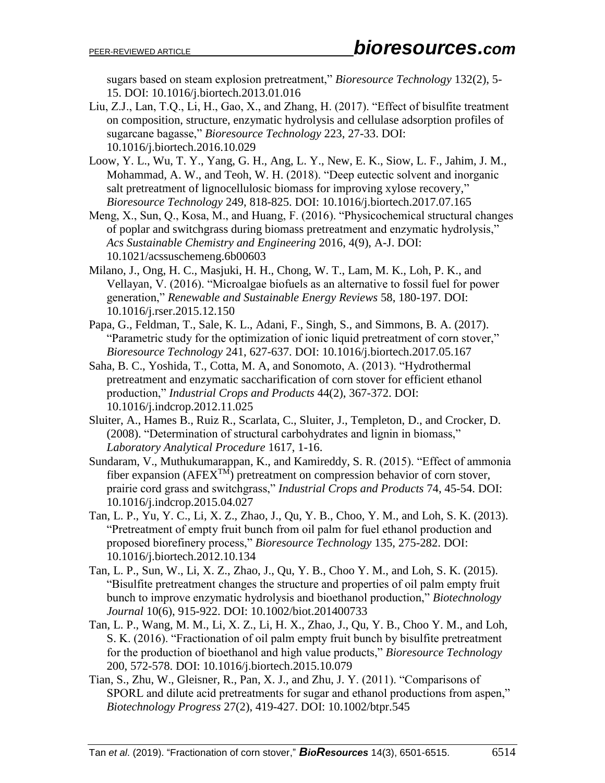sugars based on steam explosion pretreatment," *Bioresource Technology* 132(2), 5- 15. DOI: 10.1016/j.biortech.2013.01.016

- Liu, Z.J., Lan, T.Q., Li, H., Gao, X., and Zhang, H. (2017). "Effect of bisulfite treatment on composition, structure, enzymatic hydrolysis and cellulase adsorption profiles of sugarcane bagasse," *Bioresource Technology* 223, 27-33. DOI: 10.1016/j.biortech.2016.10.029
- Loow, Y. L., Wu, T. Y., Yang, G. H., Ang, L. Y., New, E. K., Siow, L. F., Jahim, J. M., Mohammad, A. W., and Teoh, W. H. (2018). "Deep eutectic solvent and inorganic salt pretreatment of lignocellulosic biomass for improving xylose recovery," *Bioresource Technology* 249, 818-825. DOI: 10.1016/j.biortech.2017.07.165
- Meng, X., Sun, Q., Kosa, M., and Huang, F. (2016). "Physicochemical structural changes of poplar and switchgrass during biomass pretreatment and enzymatic hydrolysis," *Acs Sustainable Chemistry and Engineering* 2016, 4(9), A-J. DOI: 10.1021/acssuschemeng.6b00603
- Milano, J., Ong, H. C., Masjuki, H. H., [Chong,](https://www.sciencedirect.com/science/article/pii/S1364032115015336#!) W. T., [Lam,](https://www.sciencedirect.com/science/article/pii/S1364032115015336#!) M. K., [Loh,](https://www.sciencedirect.com/science/article/pii/S1364032115015336#!) P. K., and [Vellayan,](https://www.sciencedirect.com/science/article/pii/S1364032115015336#!) V. (2016). "Microalgae biofuels as an alternative to fossil fuel for power generation," *Renewable and Sustainable Energy Reviews* 58, 180-197. DOI: 10.1016/j.rser.2015.12.150
- Papa, G., Feldman, T., Sale, K. L., [Adani,](https://www.sciencedirect.com/science/article/pii/S0960852417308350#!) F., [Singh,](https://www.sciencedirect.com/science/article/pii/S0960852417308350#!) S., and [Simmons,](https://www.sciencedirect.com/science/article/pii/S0960852417308350#!) B. A. (2017). "Parametric study for the optimization of ionic liquid pretreatment of corn stover," *Bioresource Technology* 241, 627-637. DOI: 10.1016/j.biortech.2017.05.167
- Saha, B. C., Yoshida, T., Cotta, M. A, and [Sonomoto,](https://www.sciencedirect.com/science/article/pii/S0926669012006140#!) A. (2013). "Hydrothermal pretreatment and enzymatic saccharification of corn stover for efficient ethanol production," *Industrial Crops and Products* 44(2), 367-372. DOI: 10.1016/j.indcrop.2012.11.025
- Sluiter, A., Hames B., Ruiz R., Scarlata, C., Sluiter, J., Templeton, D., and Crocker, D. (2008). "Determination of structural carbohydrates and lignin in biomass," *Laboratory Analytical Procedure* 1617, 1-16.
- Sundaram, V., Muthukumarappan, K., and Kamireddy, S. R. (2015). "Effect of ammonia fiber expansion ( $AFEX^{TM}$ ) pretreatment on compression behavior of corn stover, prairie cord grass and switchgrass," *Industrial Crops and Products* 74, 45-54. DOI: 10.1016/j.indcrop.2015.04.027
- Tan, L. P., Yu, Y. C., Li, X. Z., Zhao, J., Qu, Y. B., Choo, Y. M., and Loh, S. K. (2013). "Pretreatment of empty fruit bunch from oil palm for fuel ethanol production and proposed biorefinery process," *Bioresource Technology* 135, 275-282. DOI: 10.1016/j.biortech.2012.10.134
- Tan, L. P., Sun, W., Li, X. Z., Zhao, J., Qu, Y. B., Choo Y. M., and Loh, S. K. (2015). "Bisulfite pretreatment changes the structure and properties of oil palm empty fruit bunch to improve enzymatic hydrolysis and bioethanol production," *Biotechnology Journal* 10(6), 915-922. DOI: 10.1002/biot.201400733
- Tan, L. P., Wang, M. M., Li, X. Z., Li, H. X., Zhao, J., Qu, Y. B., Choo Y. M., and Loh, S. K. (2016). "Fractionation of oil palm empty fruit bunch by bisulfite pretreatment for the production of bioethanol and high value products," *Bioresource Technology* 200, 572-578. DOI: 10.1016/j.biortech.2015.10.079
- Tian, S., Zhu, W., Gleisner, R., Pan, X. J., and Zhu, J. Y. (2011). "Comparisons of SPORL and dilute acid pretreatments for sugar and ethanol productions from aspen," *Biotechnology Progress* 27(2), 419-427. DOI: 10.1002/btpr.545